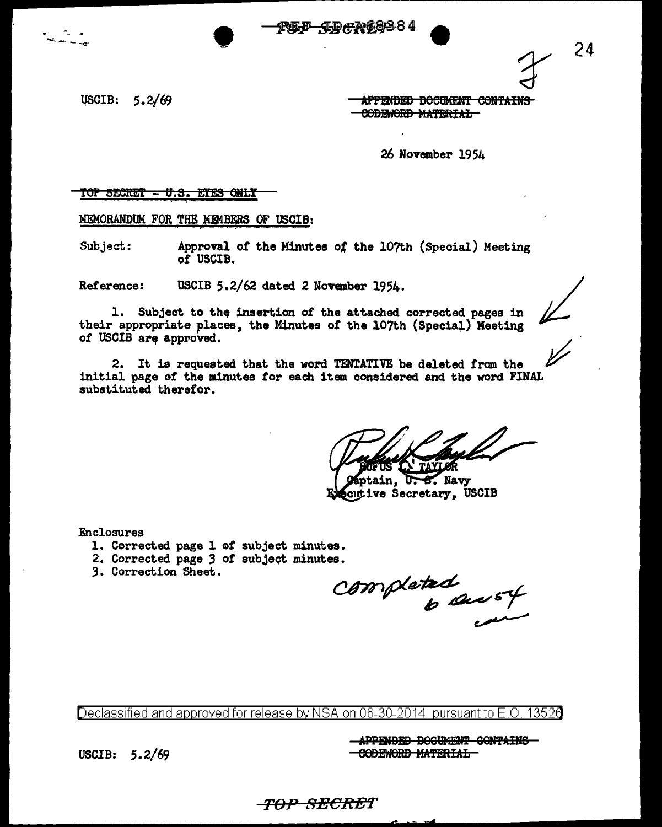USCIB: 5.2/69

APPENDED DOCUMENT CONTAINS CODEWORD MATERTAL

26 November 1954

TOP SECRET = U.S. ETES ONLY

MEMORANDUM FOR THE MEMBERS OF USCIB:

Subject: Approval of the Minutes of the 107th (Special) Meeting of USCIB.

Reference: USCIB 5.2/62 dated 2 November 1954.

1. Subject to the insertion of the attached corrected pages in their appropriate places, the Minutes of the 107th (Special) Meeting of USCIB are approved.

2. It is requested that the word TENTATIVE be deleted from the initial page of the minutes for each item considered and the word FINAL substituted therefor.

ntain.  $\overline{S}$ . Navy cutive Secretary, USCIB

Enclosures

- 1. Corrected page 1 of subject minutes.
- 2. Corrected page 3 of subject minutes.
- 3. Correction Sheet.

completed<br>6 sec 54

Declassified and approved for release by NSA on 06-30-2014 pursuant to E.O. 13520

APPENDED DOCUMENT CONTAINS CODEWORD MATERIAL

USCIB: 5.2/69

<del>-TOP-SECRE</del>T

24